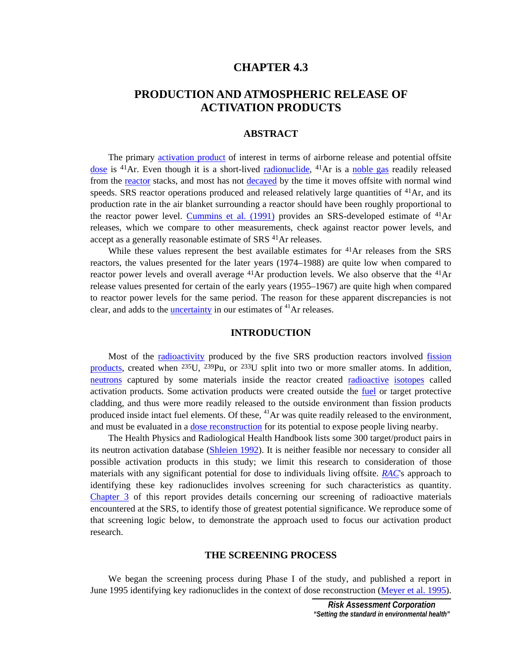# **CHAPTER 4.3**

# **PRODUCTION AND ATMOSPHERIC RELEASE OF ACTIVATION PRODUCTS**

#### **ABSTRACT**

 The primary [activation product of](#page-2-0) interest in terms of airborne release and potential offsite [dose](#page-9-0) is  $^{41}Ar$ . Even though it is a short-lived [radionuclide,](#page-11-0)  $^{41}Ar$  is a [noble gas](#page-9-0) readily released from the [reactor](#page-11-0) stacks, and most has not decayed by the time it moves offsite with normal wind speeds. SRS reactor operations produced and released relatively large quantities of  $^{41}Ar$ , and its production rate in the air blanket surrounding a reactor should have been roughly proportional to the reactor power level. [Cummins et al. \(1991\)](#page-18-0) provides an SRS-developed estimate of <sup>41</sup>Ar releases, which we compare to other measurements, check against reactor power levels, and accept as a generally reasonable estimate of SRS 41Ar releases.

While these values represent the best available estimates for  $^{41}Ar$  releases from the SRS reactors, the values presented for the later years (1974–1988) are quite low when compared to reactor power levels and overall average <sup>41</sup>Ar production levels. We also observe that the <sup>41</sup>Ar release values presented for certain of the early years (1955–1967) are quite high when compared to reactor power levels for the same period. The reason for these apparent discrepancies is not clear, and adds to the *uncertainty* in our estimates of <sup>41</sup>Ar releases.

# **INTRODUCTION**

 Most of the [radioactivity](#page-11-0) produced by the five SRS production reactors involved [fission](#page-6-0)  [products,](#page-6-0) created when <sup>235</sup>U, <sup>239</sup>Pu, or <sup>233</sup>U split into two or more smaller atoms. In addition, [neutrons](#page-9-0) captured by some materials inside the reactor created [radioactive](#page-11-0) [isotopes](#page-8-0) called activation products. Some activation products were created outside the [fuel](#page-6-0) or target protective cladding, and thus were more readily released to the outside environment than fission products produced inside intact fuel elements. Of these,  $^{41}Ar$  was quite readily released to the environment, and must be evaluated in a [dose reconstruction f](#page-5-0)or its potential to expose people living nearby.

 The Health Physics and Radiological Health Handbook lists some 300 target/product pairs in its neutron activation database [\(Shleien 1992\)](#page-20-0). It is neither feasible nor necessary to consider all possible activation products in this study; we limit this research to consideration of those materials with any significant potential for dose to individuals living offsite. *[RAC](#page-10-0)*'s approach to identifying these key radionuclides involves screening for such characteristics as quantity. Chapter 3 of this report provides details concerning our screening of radioactive materials encountered at the SRS, to identify those of greatest potential significance. We reproduce some of that screening logic below, to demonstrate the approach used to focus our activation product research.

#### **THE SCREENING PROCESS**

 We began the screening process during Phase I of the study, and published a report in June 1995 identifying key radionuclides in the context of dose reconstruction ([Meyer et al. 1995\)](#page-20-0).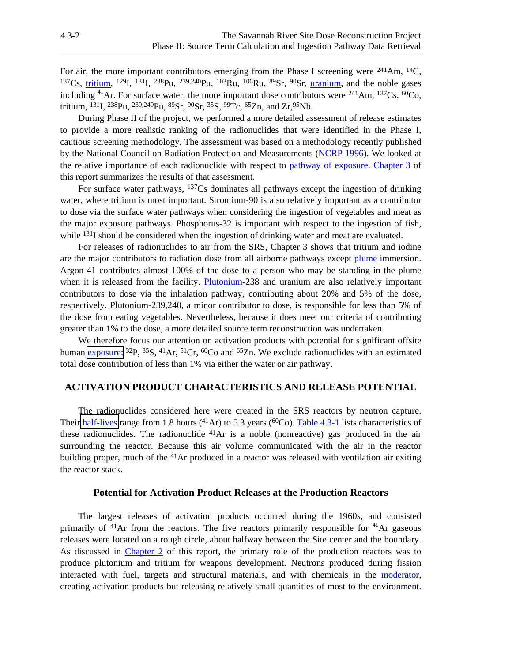For air, the more important contributors emerging from the Phase I screening were <sup>241</sup>Am, <sup>14</sup>C, 137Cs, [tritium,](#page-12-0) 129I, 131I, 238Pu, 239,240Pu, 103Ru, 106Ru, 89Sr, 90Sr, [uranium,](#page-12-0) and the noble gases including <sup>41</sup>Ar. For surface water, the more important dose contributors were <sup>241</sup>Am, <sup>137</sup>Cs, <sup>60</sup>Co, tritium, 131I, 238Pu, 239,240Pu, 89Sr, 90Sr, 35S, 99Tc, 65Zn, and Zr,95Nb.

 During Phase II of the project, we performed a more detailed assessment of release estimates to provide a more realistic ranking of the radionuclides that were identified in the Phase I, cautious screening methodology. The assessment was based on a methodology recently published by the National Council on Radiation Protection and Measurements ([NCRP 1996\)](#page-20-0). We looked at the relative importance of each radionuclide with respect t[o pathway of exposure.](#page-6-0) Chapter 3 of this report summarizes the results of that assessment.

 For surface water pathways, 137Cs dominates all pathways except the ingestion of drinking water, where tritium is most important. Strontium-90 is also relatively important as a contributor to dose via the surface water pathways when considering the ingestion of vegetables and meat as the major exposure pathways. Phosphorus-32 is important with respect to the ingestion of fish, while <sup>131</sup>I should be considered when the ingestion of drinking water and meat are evaluated.

For releases of radionuclides to air from the SRS, Chapter 3 shows that tritium and iodine are the major contributors to radiation dose from all airborne pathways excep[t plume](#page-10-0) immersion. Argon-41 contributes almost 100% of the dose to a person who may be standing in the plume when it is released from the facility. [Plutonium-](#page-10-0)238 and uranium are also relatively important contributors to dose via the inhalation pathway, contributing about 20% and 5% of the dose, respectively. Plutonium-239,240, a minor contributor to dose, is responsible for less than 5% of the dose from eating vegetables. Nevertheless, because it does meet our criteria of contributing greater than 1% to the dose, a more detailed source term reconstruction was undertaken.

 We therefore focus our attention on activation products with potential for significant offsite human [exposure:](#page-6-0)  ${}^{32}P$ ,  ${}^{35}S$ ,  ${}^{41}Ar$ ,  ${}^{51}Cr$ ,  ${}^{60}Co$  and  ${}^{65}Zn$ . We exclude radionuclides with an estimated total dose contribution of less than 1% via either the water or air pathway.

## **ACTIVATION PRODUCT CHARACTERISTICS AND RELEASE POTENTIAL**

 The radionuclides considered here were created in the SRS reactors by neutron capture. Their [half-lives](#page-7-0) range from 1.8 hours ( $^{41}Ar$ ) to 5.3 years ( $^{60}Co$ ). [Table 4.3-1](#page-2-0) lists characteristics of these radionuclides. The radionuclide 41Ar is a noble (nonreactive) gas produced in the air surrounding the reactor. Because this air volume communicated with the air in the reactor building proper, much of the 41Ar produced in a reactor was released with ventilation air exiting the reactor stack.

#### **Potential for Activation Product Releases at the Production Reactors**

The largest releases of activation products occurred during the 1960s, and consisted primarily of  $41$ Ar from the reactors. The five reactors primarily responsible for  $41$ Ar gaseous releases were located on a rough circle, about halfway between the Site center and the boundary. As discussed in Chapter 2 of this report, the primary role of the production reactors was to produce plutonium and tritium for weapons development. Neutrons produced during fission interacted with fuel, targets and structural materials, and with chemicals in the [moderator,](#page-9-0)  creating activation products but releasing relatively small quantities of most to the environment.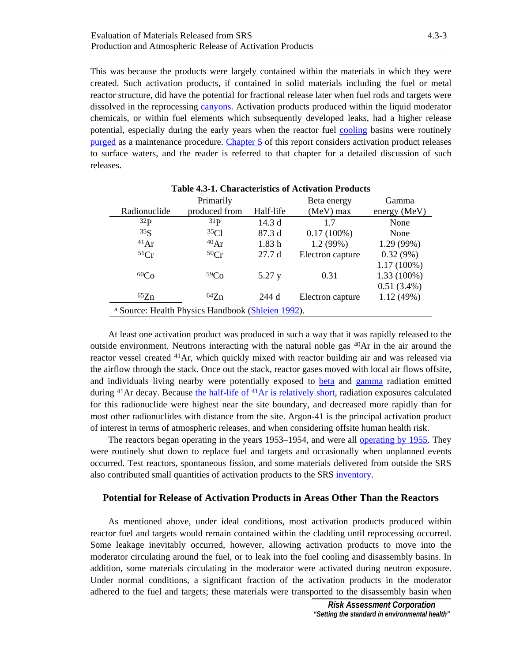<span id="page-2-0"></span>This was because the products were largely contained within the materials in which they were created. Such activation products, if contained in solid materials including the fuel or metal reactor structure, did have the potential for fractional release later when fuel rods and targets were dissolved in the reprocessing [canyons.](#page-3-0) Activation products produced within the liquid moderator chemicals, or within fuel elements which subsequently developed leaks, had a higher release potential, especially during the early years when the reactor fuel [cooling b](#page-4-0)asins were routinely [purged a](#page-10-0)s a maintenance procedure. Chapter 5 of this report considers activation product releases to surface waters, and the reader is referred to that chapter for a detailed discussion of such releases.

|                 | Primarily                                         |           | Beta energy      | Gamma          |  |  |
|-----------------|---------------------------------------------------|-----------|------------------|----------------|--|--|
| Radionuclide    | produced from                                     | Half-life | $(MeV)$ max      | energy $(MeV)$ |  |  |
| 32 <sub>P</sub> | 31 <sub>P</sub>                                   | 14.3d     | 17               | None           |  |  |
| 35 <sub>S</sub> | 35Cl                                              | 87.3d     | $0.17(100\%)$    | None           |  |  |
| $^{41}Ar$       | 40Ar                                              | 1.83h     | 1.2(99%)         | 1.29(99%)      |  |  |
| 51Cr            | 50Cr                                              | 27.7d     | Electron capture | 0.32(9%)       |  |  |
|                 |                                                   |           |                  | $1.17(100\%)$  |  |  |
| 60Co            | 59 <sub>Co</sub>                                  | 5.27 y    | 0.31             | 1.33 (100%)    |  |  |
|                 |                                                   |           |                  | $0.51(3.4\%)$  |  |  |
| ${}^{65}Zn$     | 64Zn                                              | 244 d     | Electron capture | 1.12(49%)      |  |  |
|                 | a Source: Health Physics Handbook (Shleien 1992). |           |                  |                |  |  |

**Table 4.3-1. Characteristics of Activation Products** 

At least one activation product was produced in such a way that it was rapidly released to the outside environment. Neutrons interacting with the natural noble gas  $^{40}Ar$  in the air around the reactor vessel created 41Ar, which quickly mixed with reactor building air and was released via the airflow through the stack. Once out the stack, reactor gases moved with local air flows offsite, and individuals living nearby were potentially exposed to [beta a](#page-3-0)nd [gamma r](#page-6-0)adiation emitted during <sup>41</sup>Ar decay. Because the half-life of <sup>41</sup>Ar is relatively short, radiation exposures calculated for this radionuclide were highest near the site boundary, and decreased more rapidly than for most other radionuclides with distance from the site. Argon-41 is the principal activation product of interest in terms of atmospheric releases, and when considering offsite human health risk.

 The reactors began operating in the years 1953–1954, and were all [operating by 1955](#page-16-0). They were routinely shut down to replace fuel and targets and occasionally when unplanned events occurred. Test reactors, spontaneous fission, and some materials delivered from outside the SRS also contributed small quantities of activation products to the SR[S inventory.](#page-8-0)

## **Potential for Release of Activation Products in Areas Other Than the Reactors**

 As mentioned above, under ideal conditions, most activation products produced within reactor fuel and targets would remain contained within the cladding until reprocessing occurred. Some leakage inevitably occurred, however, allowing activation products to move into the moderator circulating around the fuel, or to leak into the fuel cooling and disassembly basins. In addition, some materials circulating in the moderator were activated during neutron exposure. Under normal conditions, a significant fraction of the activation products in the moderator adhered to the fuel and targets; these materials were transported to the disassembly basin when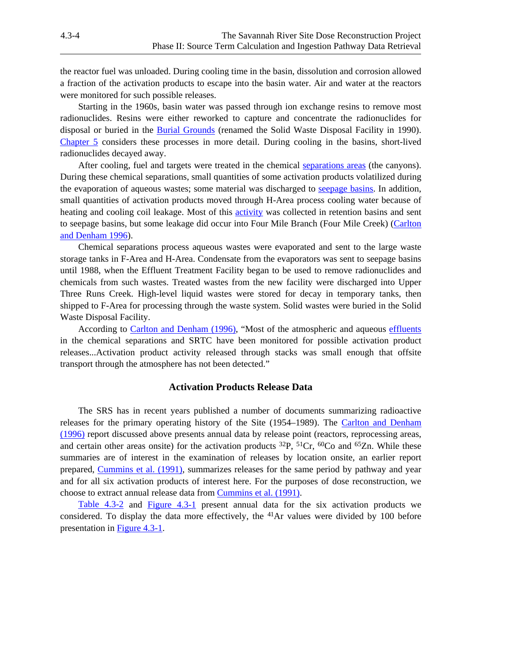<span id="page-3-0"></span>the reactor fuel was unloaded. During cooling time in the basin, dissolution and corrosion allowed a fraction of the activation products to escape into the basin water. Air and water at the reactors were monitored for such possible releases.

 Starting in the 1960s, basin water was passed through ion exchange resins to remove most radionuclides. Resins were either reworked to capture and concentrate the radionuclides for disposal or buried in the Burial Grounds (renamed the Solid Waste Disposal Facility in 1990). Chapter 5 considers these processes in more detail. During cooling in the basins, short-lived radionuclides decayed away.

 After cooling, fuel and targets were treated in the chemical [separations areas \(](#page-11-0)the canyons). During these chemical separations, small quantities of some activation products volatilized during the evaporation of aqueous wastes; some material was discharged to [seepage basins.](#page-11-0) In addition, small quantities of activation products moved through H-Area process cooling water because of heating and cooling coil leakage. Most of this [activity w](#page-2-0)as collected in retention basins and sent to seepage basins, but some leakage did occur into Four Mile Branch (Four Mile Creek) [\(Carlton](#page-18-0)  [and Denham 1996\)](#page-18-0).

 Chemical separations process aqueous wastes were evaporated and sent to the large waste storage tanks in F-Area and H-Area. Condensate from the evaporators was sent to seepage basins until 1988, when the Effluent Treatment Facility began to be used to remove radionuclides and chemicals from such wastes. Treated wastes from the new facility were discharged into Upper Three Runs Creek. High-level liquid wastes were stored for decay in temporary tanks, then shipped to F-Area for processing through the waste system. Solid wastes were buried in the Solid Waste Disposal Facility.

 According to [Carlton and Denham \(1996\)](#page-18-0), "Most of the atmospheric and aqueous [effluents](#page-5-0) in the chemical separations and SRTC have been monitored for possible activation product releases...Activation product activity released through stacks was small enough that offsite transport through the atmosphere has not been detected."

## **Activation Products Release Data**

 The SRS has in recent years published a number of documents summarizing radioactive releases for the primary operating history of the Site (1954–1989). The Carlton and Denham [\(1996\)](#page-18-0) report discussed above presents annual data by release point (reactors, reprocessing areas, and certain other areas onsite) for the activation products  ${}^{32}P$ ,  ${}^{51}Cr$ ,  ${}^{60}Co$  and  ${}^{65}Zn$ . While these summaries are of interest in the examination of releases by location onsite, an earlier report prepared, [Cummins et al. \(1991\), s](#page-18-0)ummarizes releases for the same period by pathway and year and for all six activation products of interest here. For the purposes of dose reconstruction, we choose to extract annual release data from [Cummins et al. \(1991\).](#page-18-0)

[Table 4.3-2](#page-4-0) and [Figure 4.3-1](#page-5-0) present annual data for the six activation products we considered. To display the data more effectively, the  $41Ar$  values were divided by 100 before presentation i[n Figure 4.3-1.](#page-5-0)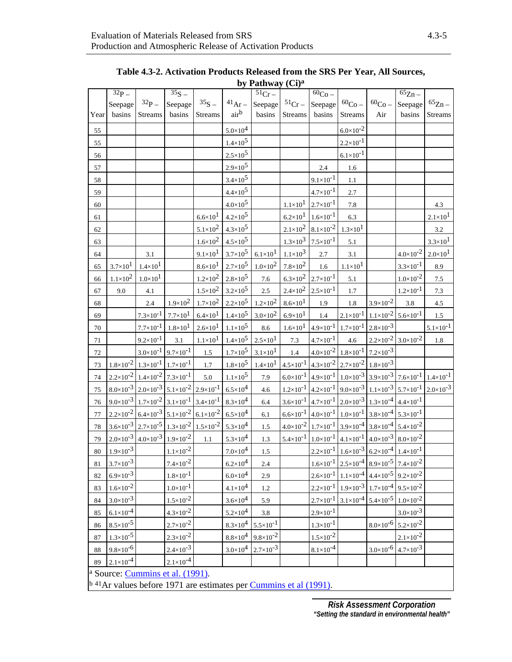<span id="page-4-0"></span>

|      | $32p -$              |                                                                                   | $\overline{35S}$     |                      |                   | $\overline{51}_{Cr}$ |                      | $\overline{60}_{Co}$                                                                                   |                                                                                   |                                           | $\overline{65}$ Zn –                                                           |                      |
|------|----------------------|-----------------------------------------------------------------------------------|----------------------|----------------------|-------------------|----------------------|----------------------|--------------------------------------------------------------------------------------------------------|-----------------------------------------------------------------------------------|-------------------------------------------|--------------------------------------------------------------------------------|----------------------|
|      | Seepage              | $32p -$                                                                           | Seepage              | $35S -$              | $^{41}Ar -$       | Seepage              | $51Cr -$             | Seepage                                                                                                | $60C_0 -$                                                                         | 60 <sub>Co</sub>                          | Seepage                                                                        | ${}^{65}Zn -$        |
| Year | basins               | <b>Streams</b>                                                                    | basins               | Streams              | airb              | basins               | Streams              | basins                                                                                                 | Streams                                                                           | Air                                       | basins                                                                         | Streams              |
| 55   |                      |                                                                                   |                      |                      | $5.0 \times 10^4$ |                      |                      |                                                                                                        | $6.0 \times 10^{-2}$                                                              |                                           |                                                                                |                      |
| 55   |                      |                                                                                   |                      |                      | $1.4 \times 10^5$ |                      |                      |                                                                                                        | $2.2 \times 10^{-1}$                                                              |                                           |                                                                                |                      |
| 56   |                      |                                                                                   |                      |                      | $2.5 \times 10^5$ |                      |                      |                                                                                                        | $6.1 \times 10^{-1}$                                                              |                                           |                                                                                |                      |
| 57   |                      |                                                                                   |                      |                      | $2.9 \times 10^5$ |                      |                      | 2.4                                                                                                    | 1.6                                                                               |                                           |                                                                                |                      |
| 58   |                      |                                                                                   |                      |                      | $3.4 \times 10^5$ |                      |                      | $9.1 \times 10^{-1}$                                                                                   | 1.1                                                                               |                                           |                                                                                |                      |
| 59   |                      |                                                                                   |                      |                      | $4.4 \times 10^5$ |                      |                      | $4.7 \times 10^{-1}$                                                                                   | 2.7                                                                               |                                           |                                                                                |                      |
| 60   |                      |                                                                                   |                      |                      | $4.0 \times 10^5$ |                      | $1.1 \times 10^{1}$  | $2.7 \times 10^{-1}$                                                                                   | 7.8                                                                               |                                           |                                                                                | 4.3                  |
| 61   |                      |                                                                                   |                      | $6.6 \times 10^{1}$  | $4.2 \times 10^5$ |                      | $6.2 \times 10^{1}$  | $1.6 \times 10^{-1}$                                                                                   | 6.3                                                                               |                                           |                                                                                | $2.1 \times 10^{1}$  |
| 62   |                      |                                                                                   |                      | $5.1 \times 10^2$    | $4.3 \times 10^5$ |                      | $2.1 \times 10^2$    | $8.1 \times 10^{-2}$                                                                                   | $1.3 \times 10^{1}$                                                               |                                           |                                                                                | $3.2\,$              |
| 63   |                      |                                                                                   |                      | $1.6 \times 10^2$    | $4.5 \times 10^5$ |                      | $1.3 \times 10^3$    | $7.5 \times 10^{-1}$                                                                                   | 5.1                                                                               |                                           |                                                                                | $3.3 \times 10^{1}$  |
| 64   |                      | 3.1                                                                               |                      | $9.1 \times 10^{1}$  | $3.7 \times 10^5$ | $6.1 \times 10^{1}$  | $1.1 \times 10^3$    | $2.7\,$                                                                                                | 3.1                                                                               |                                           | $4.0 \times 10^{-2}$                                                           | $2.0 \times 10^{1}$  |
| 65   | $3.7 \times 10^{1}$  | $1.4 \times 10^{1}$                                                               |                      | $8.6 \times 10^{1}$  | $2.7 \times 10^5$ | $1.0 \times 10^2$    | $7.8 \times 10^2$    | 1.6                                                                                                    | $1.1 \times 10^{1}$                                                               |                                           | $3.3 \times 10^{-1}$                                                           | 8.9                  |
| 66   | $1.1 \times 10^2$    | $1.0 \times 10^{1}$                                                               |                      | $1.2 \times 10^2$    | $2.8 \times 10^5$ | $7.6\,$              | $6.3 \times 10^2$    | $2.7 \times 10^{-1}$                                                                                   | 5.1                                                                               |                                           | $1.0 \times 10^{-2}$                                                           | $7.5\,$              |
| 67   | 9.0                  | 4.1                                                                               |                      | $1.5 \times 10^2$    | $3.2 \times 10^5$ | 2.5                  | $2.4 \times 10^2$    | $2.5 \times 10^{-1}$                                                                                   | 1.7                                                                               |                                           | $1.2 \times 10^{-1}$                                                           | $7.3\,$              |
| 68   |                      | $2.4\,$                                                                           | $1.9 \times 10^2$    | $1.7\times10^{2}$    | $2.2 \times 10^5$ | $1.2 \times 10^2$    | $8.6 \times 10^{1}$  | 1.9                                                                                                    | $1.8\,$                                                                           | $3.9 \times 10^{-2}$                      | $3.8\,$                                                                        | 4.5                  |
| 69   |                      | $7.3 \times 10^{-1}$                                                              | $7.7 \times 10^{1}$  | $6.4 \times 10^{1}$  | $1.4 \times 10^5$ | $3.0 \times 10^2$    | $6.9 \times 10^{1}$  | 1.4                                                                                                    | $2.1 \times 10^{-1}$                                                              | $1.1 \times 10^{-2}$ 5.6×10 <sup>-1</sup> |                                                                                | 1.5                  |
| 70   |                      | $7.7 \times 10^{-1}$                                                              | $1.8 \times 10^{1}$  | $2.6 \times 10^{1}$  | $1.1 \times 10^5$ | $8.6\,$              | $1.6 \times 10^{1}$  | $4.9 \times 10^{-1}$                                                                                   | $1.7 \times 10^{-1}$                                                              | $2.8 \times 10^{-3}$                      |                                                                                | $5.1 \times 10^{-1}$ |
| 71   |                      | $9.2 \times 10^{-1}$                                                              | 3.1                  | $1.1 \times 10^{1}$  | $1.4 \times 10^5$ | $2.5 \times 10^{1}$  | 7.3                  | $4.7 \times 10^{-1}$                                                                                   | 4.6                                                                               | $2.2 \times 10^{-2}$ 3.0×10 <sup>-2</sup> |                                                                                | $1.8\,$              |
| 72   |                      | $3.0\times10^{-1}$ 9.7×10 <sup>-1</sup>                                           |                      | $1.5\,$              | $1.7 \times 10^5$ | $3.1 \times 10^{1}$  | 1.4                  |                                                                                                        | $4.0\times10^{-2}$ 1.8×10 <sup>-1</sup> 7.2×10 <sup>-3</sup>                      |                                           |                                                                                |                      |
| 73   |                      | $1.8\times10^{-2}$ 1.3×10 <sup>-1</sup> 1.7×10 <sup>-1</sup>                      |                      | $1.7\,$              | $1.8 \times 10^5$ | $1.4 \times 10^{1}$  |                      | $4.5\times10^{-1}$ 4.3×10 <sup>-2</sup> 2.7×10 <sup>-2</sup> 1.8×10 <sup>-3</sup>                      |                                                                                   |                                           |                                                                                |                      |
| 74   |                      | $2.2\times10^{-2}$ 1.4×10 <sup>-2</sup> 7.3×10 <sup>-1</sup>                      |                      | $5.0\,$              | $1.1 \times 10^5$ | 7.9                  | $6.0\times10^{-1}$   | $4.9 \times 10^{-1}$                                                                                   |                                                                                   |                                           | $1.0\times10^{-3}$ 3.9×10 <sup>-3</sup> 7.6×10 <sup>-1</sup>                   | $1.4 \times 10^{-1}$ |
| 75   |                      | $8.0\times10^{-3}$ 2.0×10 <sup>-3</sup> 5.1×10 <sup>-2</sup> 2.9×10 <sup>-1</sup> |                      |                      | $6.5 \times 10^4$ | 4.6                  | $1.2 \times 10^{-1}$ |                                                                                                        |                                                                                   |                                           | $4.2\times10^{-1}$ 9.0 $\times10^{-3}$ 1.1 $\times10^{-3}$ 5.7 $\times10^{-1}$ | $2.0 \times 10^{-3}$ |
| 76   |                      | $9.0\times10^{-3}$ 1.7×10 <sup>-2</sup> 3.1×10 <sup>-1</sup>                      |                      | $3.4 \times 10^{-1}$ | $8.3 \times 10^4$ | 6.4                  | $3.6 \times 10^{-1}$ |                                                                                                        | $4.7\times10^{-1}$ 2.0×10 <sup>-3</sup> 1.3×10 <sup>-4</sup>                      |                                           | $4.4 \times 10^{-1}$                                                           |                      |
| 77   |                      | $2.2\times10^{-2}$ 6.4×10 <sup>-3</sup> 5.1×10 <sup>-2</sup> 6.1×10 <sup>-2</sup> |                      |                      | $6.5 \times 10^4$ | 6.1                  |                      | $6.6 \times 10^{-1}$ 4.0×10 <sup>-1</sup>                                                              | $1.0\times10^{-1}$ 3.8×10 <sup>-4</sup>                                           |                                           | $5.3 \times 10^{-1}$                                                           |                      |
| 78   |                      | $3.6\times10^{-3}$ 2.7×10 <sup>-5</sup> 1.3×10 <sup>-2</sup>                      |                      | $1.5 \times 10^{-2}$ | $5.3 \times 10^4$ | 1.5                  |                      | $4.0\times10^{-2}$ 1.7×10 <sup>-1</sup> 3.9×10 <sup>-4</sup> 3.8×10 <sup>-4</sup>                      |                                                                                   |                                           | $5.4 \times 10^{-2}$                                                           |                      |
| 79   |                      | $2.0\times10^{-3}$ 4.0×10 <sup>-3</sup> 1.9×10 <sup>-2</sup>                      |                      | $1.1\,$              | $5.3 \times 10^4$ | 1.3                  |                      | $5.4\times10^{-1}$ 1.0×10 <sup>-1</sup> 4.1×10 <sup>-1</sup> 4.0×10 <sup>-3</sup> 8.0×10 <sup>-2</sup> |                                                                                   |                                           |                                                                                |                      |
| 80   | $1.9 \times 10^{-3}$ |                                                                                   | $1.1 \times 10^{-2}$ |                      | $7.0\times10^4$   | 1.5                  |                      |                                                                                                        | $2.2\times10^{-1}$ 1.6×10 <sup>-3</sup> 6.2×10 <sup>-4</sup> 1.4×10 <sup>-1</sup> |                                           |                                                                                |                      |
| 81   | $3.7 \times 10^{-3}$ |                                                                                   | $7.4 \times 10^{-2}$ |                      | $6.2 \times 10^4$ | 2.4                  |                      |                                                                                                        | $1.6\times10^{-1}$ 2.5×10 <sup>-4</sup> 8.9×10 <sup>-5</sup> 7.4×10 <sup>-2</sup> |                                           |                                                                                |                      |
| 82   | $6.9 \times 10^{-3}$ |                                                                                   | $1.8 \times 10^{-1}$ |                      | $6.0 \times 10^4$ | 2.9                  |                      | $2.6 \times 10^{-1}$                                                                                   | $1.1 \times 10^{-4}$                                                              | $4.4 \times 10^{-5}$                      | $9.2 \times 10^{-2}$                                                           |                      |
| 83   | $1.6 \times 10^{-2}$ |                                                                                   | $1.0 \times 10^{-1}$ |                      | $4.1 \times 10^4$ | 1.2                  |                      | $2.2 \times 10^{-1}$                                                                                   | $1.9 \times 10^{-3}$                                                              | $1.7 \times 10^{-4}$                      | $9.5 \times 10^{-2}$                                                           |                      |
| 84   | $3.0 \times 10^{-3}$ |                                                                                   | $1.5 \times 10^{-2}$ |                      | $3.6 \times 10^4$ | 5.9                  |                      | $2.7 \times 10^{-1}$                                                                                   | $3.1\times10^{-4}$ 5.4×10 <sup>-5</sup>                                           |                                           | $1.0 \times 10^{-2}$                                                           |                      |
| 85   | $6.1 \times 10^{-4}$ |                                                                                   | $4.3 \times 10^{-2}$ |                      | $5.2 \times 10^4$ | 3.8                  |                      | $2.9 \times 10^{-1}$                                                                                   |                                                                                   |                                           | $3.0 \times 10^{-3}$                                                           |                      |
| 86   | $8.5 \times 10^{-5}$ |                                                                                   | $2.7 \times 10^{-2}$ |                      | $8.3 \times 10^4$ | $5.5 \times 10^{-1}$ |                      | $1.3 \times 10^{-1}$                                                                                   |                                                                                   | $8.0 \times 10^{-6}$                      | $5.2 \times 10^{-2}$                                                           |                      |
| 87   | $1.3 \times 10^{-5}$ |                                                                                   | $2.3 \times 10^{-2}$ |                      | $8.8 \times 10^4$ | $9.8 \times 10^{-2}$ |                      | $1.5 \times 10^{-2}$                                                                                   |                                                                                   |                                           | $2.1 \times 10^{-2}$                                                           |                      |
| 88   | $9.8 \times 10^{-6}$ |                                                                                   | $2.4 \times 10^{-3}$ |                      | $3.0 \times 10^4$ | $2.7 \times 10^{-3}$ |                      | $8.1 \times 10^{-4}$                                                                                   |                                                                                   | $3.0 \times 10^{-6}$                      | $4.7 \times 10^{-3}$                                                           |                      |
| 89   | $2.1 \times 10^{-4}$ |                                                                                   | $2.1 \times 10^{-4}$ |                      |                   |                      |                      |                                                                                                        |                                                                                   |                                           |                                                                                |                      |
|      |                      | <sup>a</sup> Source: Cummins et al. (1991).                                       |                      |                      |                   |                      |                      |                                                                                                        |                                                                                   |                                           |                                                                                |                      |

**Table 4.3-2. Activation Products Released from the SRS Per Year, All Sources, by Pathway (Ci)a** 

a Source: Cummins et al. (1991).

<sup>b 41</sup>Ar values before 1971 are estimates per *Cummins et al (1991)*.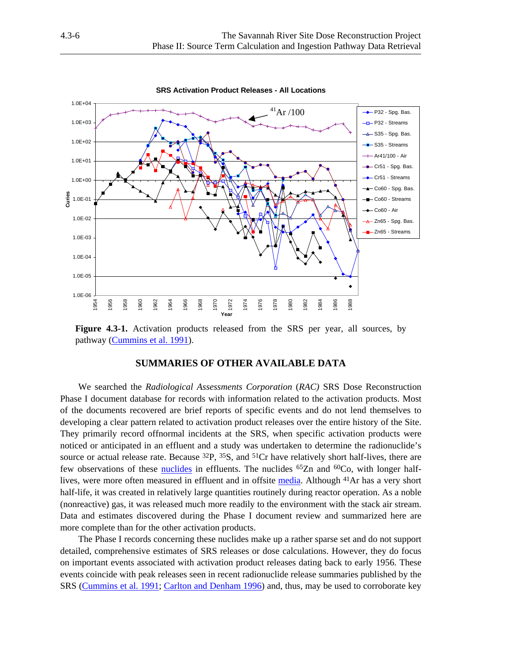<span id="page-5-0"></span>

**Figure 4.3-1.** Activation products released from the SRS per year, all sources, by pathway [\(Cummins et al. 1991\)](#page-18-0).

# **SUMMARIES OF OTHER AVAILABLE DATA**

 We searched the *Radiological Assessments Corporation* (*RAC)* SRS Dose Reconstruction Phase I document database for records with information related to the activation products. Most of the documents recovered are brief reports of specific events and do not lend themselves to developing a clear pattern related to activation product releases over the entire history of the Site. They primarily record offnormal incidents at the SRS, when specific activation products were noticed or anticipated in an effluent and a study was undertaken to determine the radionuclide's source or actual release rate. Because <sup>32</sup>P, <sup>35</sup>S, and <sup>51</sup>Cr have relatively short half-lives, there are few observations of these [nuclides](#page-9-0) in effluents. The nuclides  $65Zn$  and  $60Co$ , with longer halflives, were more often measured in effluent and in offsite [media. A](#page-8-0)lthough 41Ar has a very short half-life, it was created in relatively large quantities routinely during reactor operation. As a noble (nonreactive) gas, it was released much more readily to the environment with the stack air stream. Data and estimates discovered during the Phase I document review and summarized here are more complete than for the other activation products.

 The Phase I records concerning these nuclides make up a rather sparse set and do not support detailed, comprehensive estimates of SRS releases or dose calculations. However, they do focus on important events associated with activation product releases dating back to early 1956. These events coincide with peak releases seen in recent radionuclide release summaries published by the SRS ([Cummins et al. 1991; Carlton and Denham 1996\)](#page-18-0) and, thus, may be used to corroborate key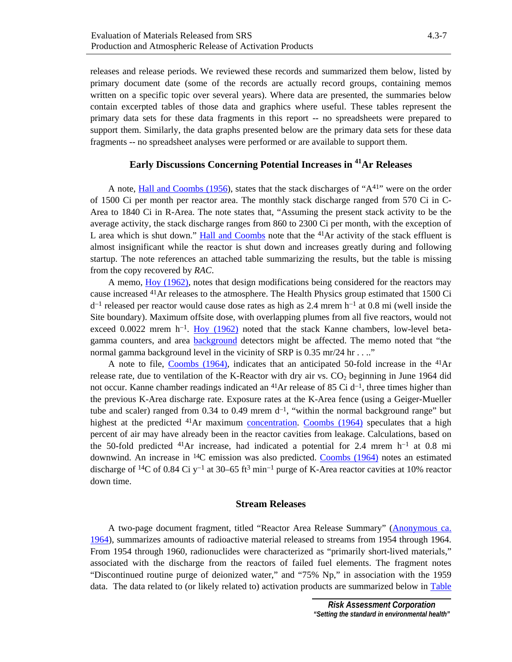## **Early Discussions Concerning Potential Increases in 41Ar Releases**

<span id="page-6-0"></span>support them. Similarly, the data graphs presented below are the primary data sets for these data

fragments -- no spreadsheet analyses were performed or are available to support them.

 A not[e, Hall and Coombs \(1956\),](#page-18-0) states that the stack discharges of "A41" were on the order of 1500 Ci per month per reactor area. The monthly stack discharge ranged from 570 Ci in C-Area to 1840 Ci in R-Area. The note states that, "Assuming the present stack activity to be the average activity, the stack discharge ranges from 860 to 2300 Ci per month, with the exception of L area which is shut down." [Hall and Coombs](#page-18-0) note that the  $41Ar$  activity of the stack effluent is almost insignificant while the reactor is shut down and increases greatly during and following startup. The note references an attached table summarizing the results, but the table is missing from the copy recovered by *RAC*.

 A memo, [Hoy \(1962\),](#page-19-0) notes that design modifications being considered for the reactors may cause increased 41Ar releases to the atmosphere. The Health Physics group estimated that 1500 Ci d<sup>−</sup>1 released per reactor would cause dose rates as high as 2.4 mrem h<sup>−</sup>1 at 0.8 mi (well inside the Site boundary). Maximum offsite dose, with overlapping plumes from all five reactors, would not exceed 0.0022 mrem h<sup>-1</sup>. [Hoy \(1962\)](#page-19-0) noted that the stack Kanne chambers, low-level betagamma counters, and are[a background](#page-3-0) detectors might be affected. The memo noted that "the normal gamma background level in the vicinity of SRP is 0.35 mr/24 hr . . .."

A note to file[, Coombs \(1964\),](#page-18-0) indicates that an anticipated 50-fold increase in the  $^{41}Ar$ release rate, due to ventilation of the K-Reactor with dry air vs.  $CO<sub>2</sub>$  beginning in June 1964 did not occur. Kanne chamber readings indicated an <sup>41</sup>Ar release of 85 Ci d<sup>-1</sup>, three times higher than the previous K-Area discharge rate. Exposure rates at the K-Area fence (using a Geiger-Mueller tube and scaler) ranged from 0.34 to 0.49 mrem  $d^{-1}$ , "within the normal background range" but highest at the predicted <sup>41</sup>Ar maximum [concentration](#page-4-0). [Coombs \(1964\)](#page-18-0) speculates that a high percent of air may have already been in the reactor cavities from leakage. Calculations, based on the 50-fold predicted 41Ar increase, had indicated a potential for 2.4 mrem h<sup>−</sup>1 at 0.8 mi downwind. An increase in  ${}^{14}C$  emission was also predicted. [Coombs \(1964\)](#page-18-0) notes an estimated discharge of 14C of 0.84 Ci y<sup>−</sup>1 at 30–65 ft3 min<sup>−</sup>1 purge of K-Area reactor cavities at 10% reactor down time.

#### **Stream Releases**

 A two-page document fragment, titled "Reactor Area Release Summary" ([Anonymous ca.](#page-17-0)  [1964](#page-17-0)), summarizes amounts of radioactive material released to streams from 1954 through 1964. From 1954 through 1960, radionuclides were characterized as "primarily short-lived materials," associated with the discharge from the reactors of failed fuel elements. The fragment notes "Discontinued routine purge of deionized water," and "75% Np," in association with the 1959 data. The data related to (or likely related to) activation products are summarized below in [Table](#page-7-0)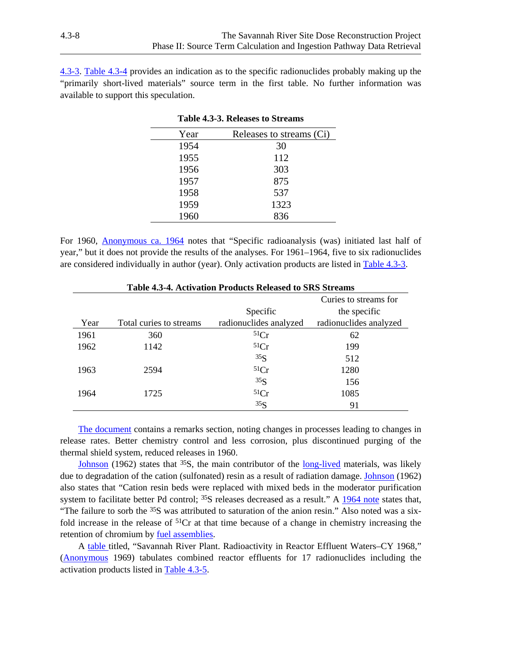<span id="page-7-0"></span>4.3-3. [Table 4.3-4](#page-7-1) provides an indication as to the specific radionuclides probably making up the "primarily short-lived materials" source term in the first table. No further information was available to support this speculation.

| Year | Releases to streams (Ci) |
|------|--------------------------|
| 1954 | 30                       |
| 1955 | 112                      |
| 1956 | 303                      |
| 1957 | 875                      |
| 1958 | 537                      |
| 1959 | 1323                     |
| 1960 | 836                      |

**Table 4.3-3. Releases to Streams** 

<span id="page-7-1"></span>For 1960, [Anonymous ca. 1964](#page-17-0) notes that "Specific radioanalysis (was) initiated last half of year," but it does not provide the results of the analyses. For 1961–1964, five to six radionuclides are considered individually in author (year). Only activation products are listed in Table 4.3-3.

| Table 4.5-4. Activation Products Released to SRS Streams |                         |                        |                        |  |  |
|----------------------------------------------------------|-------------------------|------------------------|------------------------|--|--|
|                                                          |                         |                        | Curies to streams for  |  |  |
|                                                          |                         | Specific               | the specific           |  |  |
| Year                                                     | Total curies to streams | radionuclides analyzed | radionuclides analyzed |  |  |
| 1961                                                     | 360                     | 51Cr                   | 62                     |  |  |
| 1962                                                     | 1142                    | 51Cr                   | 199                    |  |  |
|                                                          |                         | 35S                    | 512                    |  |  |
| 1963                                                     | 2594                    | 51Cr                   | 1280                   |  |  |
|                                                          |                         | 35 <sub>S</sub>        | 156                    |  |  |
| 1964                                                     | 1725                    | 51Cr                   | 1085                   |  |  |
|                                                          |                         | 35S                    | 91                     |  |  |

#### **Table 4.3-4. Activation Products Released to SRS Streams**

[The document](#page-17-0) contains a remarks section, noting changes in processes leading to changes in release rates. Better chemistry control and less corrosion, plus discontinued purging of the thermal shield system, reduced releases in 1960.

[Johnson \(](#page-19-0)1962) states that  $35S$ , the main contributor of the long-lived materials, was likely due to degradation of the cation (sulfonated) resin as a result of radiation damage[. Johnson](#page-19-0) (1962) also states that "Cation resin beds were replaced with mixed beds in the moderator purification system to facilitate better Pd control; <sup>35</sup>S releases decreased as a result." A [1964 note](#page-17-0) states that, "The failure to sorb the 35S was attributed to saturation of the anion resin." Also noted was a sixfold increase in the release of  ${}^{51}Cr$  at that time because of a change in chemistry increasing the retention of chromium by [fuel assemblies.](#page-6-0) 

 A [table](#page-17-0) titled, "Savannah River Plant. Radioactivity in Reactor Effluent Waters–CY 1968," ([Anonymous](#page-17-0) 1969) tabulates combined reactor effluents for 17 radionuclides including the activation products listed in [Table 4.3-5](#page-8-0).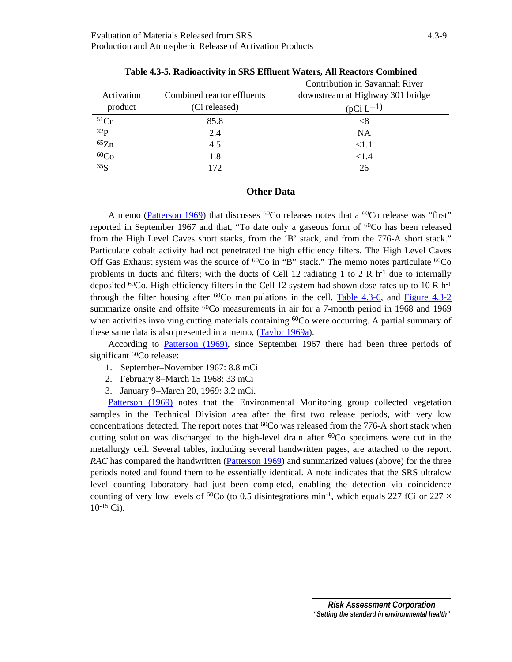<span id="page-8-0"></span>

|                  |                            | Contribution in Savannah River   |
|------------------|----------------------------|----------------------------------|
| Activation       | Combined reactor effluents | downstream at Highway 301 bridge |
| product          | (Ci released)              | $(pCi L^{-1})$                   |
| 51Cr             | 85.8                       | $< \!\!8$                        |
| 32P              | 2.4                        | <b>NA</b>                        |
| 65Zn             | 4.5                        | < 1.1                            |
| 60 <sub>Co</sub> | 1.8                        | ${<}1.4$                         |
| 35S              | 172                        | 26                               |

**Table 4.3-5. Radioactivity in SRS Effluent Waters, All Reactors Combined** 

## **Other Data**

A memo ([Patterson 1969\)](#page-20-0) that discusses  ${}^{60}$ Co releases notes that a  ${}^{60}$ Co release was "first" reported in September 1967 and that, "To date only a gaseous form of  ${}^{60}Co$  has been released from the High Level Caves short stacks, from the 'B' stack, and from the 776-A short stack." Particulate cobalt activity had not penetrated the high efficiency filters. The High Level Caves Off Gas Exhaust system was the source of  ${}^{60}Co$  in "B" stack." The memo notes particulate  ${}^{60}Co$ problems in ducts and filters; with the ducts of Cell 12 radiating 1 to 2 R  $h^{-1}$  due to internally deposited <sup>60</sup>Co. High-efficiency filters in the Cell 12 system had shown dose rates up to 10 R h<sup>-1</sup> through the filter housing after  ${}^{60}Co$  manipulations in the cell. [Table 4.3-6,](#page-9-0) and [Figure 4.3-2](#page-9-1) summarize onsite and offsite <sup>60</sup>Co measurements in air for a 7-month period in 1968 and 1969 when activities involving cutting materials containing <sup>60</sup>Co were occurring. A partial summary of these same data is also presented in a memo, [\(Taylor 1969a\).](#page-20-0)

 According to [Patterson \(1969\)](#page-20-0), since September 1967 there had been three periods of significant <sup>60</sup>Co release:

- 1. September–November 1967: 8.8 mCi
- 2. February 8–March 15 1968: 33 mCi
- 3. January 9–March 20, 1969: 3.2 mCi.

[Patterson \(1969\)](#page-20-0) notes that the Environmental Monitoring group collected vegetation samples in the Technical Division area after the first two release periods, with very low concentrations detected. The report notes that  $^{60}$ Co was released from the 776-A short stack when cutting solution was discharged to the high-level drain after  ${}^{60}Co$  specimens were cut in the metallurgy cell. Several tables, including several handwritten pages, are attached to the report. *RAC* has compared the handwritten ([Patterson 1969\)](#page-20-0) and summarized values (above) for the three periods noted and found them to be essentially identical. A note indicates that the SRS ultralow level counting laboratory had just been completed, enabling the detection via coincidence counting of very low levels of <sup>60</sup>Co (to 0.5 disintegrations min<sup>-1</sup>, which equals 227 fCi or 227  $\times$  $10^{-15}$  Ci).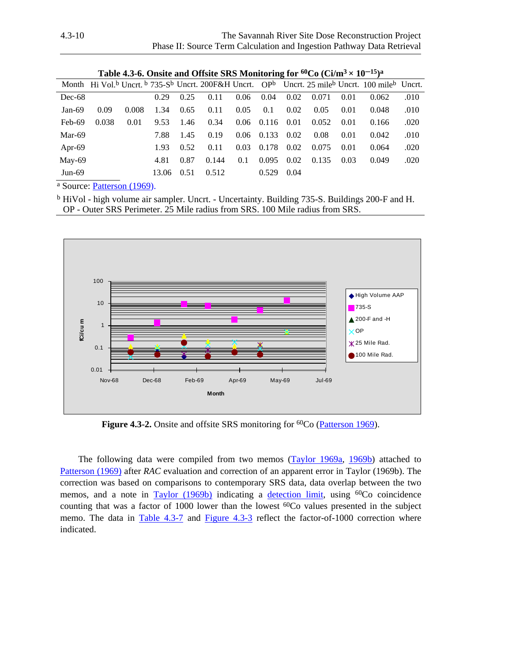<span id="page-9-0"></span>

|           | <b>Table 4.3-0. Onsite and Onsite SKS Monitoring for <math>\sim</math> CO (CI/III° <math>\times</math> 10 <math>\sim</math> )<math>\sim</math></b> |       |       |      |       |      |              |      |       |      |                                                                                                             |      |
|-----------|----------------------------------------------------------------------------------------------------------------------------------------------------|-------|-------|------|-------|------|--------------|------|-------|------|-------------------------------------------------------------------------------------------------------------|------|
|           |                                                                                                                                                    |       |       |      |       |      |              |      |       |      | Month Hi Vol. <sup>b</sup> Uncrt. b 735-Sb Uncrt. 200F&H Uncrt. OPb Uncrt. 25 mileb Uncrt. 100 mileb Uncrt. |      |
| $Dec-68$  |                                                                                                                                                    |       | 0.29  | 0.25 | 0.11  | 0.06 | 0.04         | 0.02 | 0.071 | 0.01 | 0.062                                                                                                       | .010 |
| Jan-69    | 0.09                                                                                                                                               | 0.008 | 1.34  | 0.65 | 0.11  | 0.05 | 0.1          | 0.02 | 0.05  | 0.01 | 0.048                                                                                                       | .010 |
| Feb-69    | 0.038                                                                                                                                              | 0.01  | 9.53  | 1.46 | 0.34  |      | $0.06$ 0.116 | 0.01 | 0.052 | 0.01 | 0.166                                                                                                       | .020 |
| Mar-69    |                                                                                                                                                    |       | 7.88  | 1.45 | 0.19  |      | $0.06$ 0.133 | 0.02 | 0.08  | 0.01 | 0.042                                                                                                       | .010 |
| Apr-69    |                                                                                                                                                    |       | 1.93  | 0.52 | 0.11  | 0.03 | 0.178        | 0.02 | 0.075 | 0.01 | 0.064                                                                                                       | .020 |
| May-69    |                                                                                                                                                    |       | 4.81  | 0.87 | 0.144 | 0.1  | 0.095        | 0.02 | 0.135 | 0.03 | 0.049                                                                                                       | .020 |
| Jun- $69$ |                                                                                                                                                    |       | 13.06 | 0.51 | 0.512 |      | 0.529        | 0.04 |       |      |                                                                                                             |      |
|           |                                                                                                                                                    |       |       |      |       |      |              |      |       |      |                                                                                                             |      |

**Table 4.3-6. Onsite and Offsite SRS Monitoring for 60Co (Ci/m3 × 10**−**15)a**

<span id="page-9-1"></span>a Source[: Patterson \(1969\).](#page-20-0)

<sup>b</sup> HiVol - high volume air sampler. Uncrt. - Uncertainty. Building 735-S. Buildings 200-F and H. OP - Outer SRS Perimeter. 25 Mile radius from SRS. 100 Mile radius from SRS.



**Figure 4.3-2.** Onsite and offsite SRS monitoring for <sup>60</sup>Co [\(Patterson 1969\)](#page-20-0).

The following data were compiled from two memos [\(Taylor 1969a, 1969b\)](#page-20-0) attached to [Patterson \(1969\)](#page-20-0) after *RAC* evaluation and correction of an apparent error in Taylor (1969b). The correction was based on comparisons to contemporary SRS data, data overlap between the two memos, and a note in  $Taylor$  (1969b) indicating a [detection limit,](#page-5-0) using  ${}^{60}Co$  coincidence counting that was a factor of 1000 lower than the lowest 60Co values presented in the subject memo. The data in [Table 4.3-7](#page-10-0) and [Figure 4.3-3](#page-10-0) reflect the factor-of-1000 correction where indicated.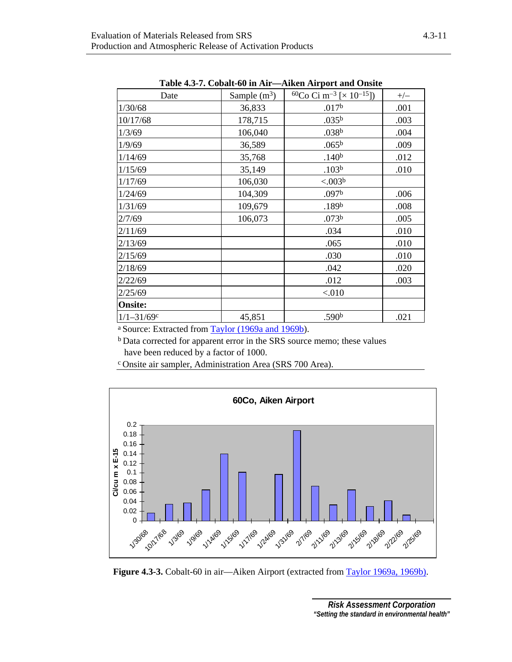<span id="page-10-0"></span>

| Date<br>1/30/68<br>10/17/68<br>1/3/69 | Sample $(m^3)$<br>36,833<br>178,715<br>106,040<br>36,589 | $^{60}Co$ Ci m <sup>-3</sup> [ $\times$ 10 <sup>-15</sup> ])<br>.017 <sup>b</sup><br>.035 <sup>b</sup><br>.038 <sup>b</sup><br>.065 <sup>b</sup> | $+/-$<br>.001<br>.003<br>.004 |
|---------------------------------------|----------------------------------------------------------|--------------------------------------------------------------------------------------------------------------------------------------------------|-------------------------------|
|                                       |                                                          |                                                                                                                                                  |                               |
|                                       |                                                          |                                                                                                                                                  |                               |
|                                       |                                                          |                                                                                                                                                  |                               |
|                                       |                                                          |                                                                                                                                                  |                               |
| 1/9/69                                |                                                          |                                                                                                                                                  | .009                          |
| 1/14/69                               | 35,768                                                   | .140 <sup>b</sup>                                                                                                                                | .012                          |
| 1/15/69                               | 35,149                                                   | .103 <sup>b</sup>                                                                                                                                | .010                          |
| 1/17/69                               | 106,030                                                  | < 0.003 <sup>b</sup>                                                                                                                             |                               |
| 1/24/69                               | 104,309                                                  | .097 <sup>b</sup>                                                                                                                                | .006                          |
| 1/31/69                               | 109,679                                                  | .189 <sup>b</sup>                                                                                                                                | .008                          |
| 2/7/69                                | 106,073                                                  | .073 <sup>b</sup>                                                                                                                                | .005                          |
| 2/11/69                               |                                                          | .034                                                                                                                                             | .010                          |
| 2/13/69                               |                                                          | .065                                                                                                                                             | .010                          |
| 2/15/69                               |                                                          | .030                                                                                                                                             | .010                          |
| 2/18/69                               |                                                          | .042                                                                                                                                             | .020                          |
| 2/22/69                               |                                                          | .012                                                                                                                                             | .003                          |
| 2/25/69                               |                                                          | < 010                                                                                                                                            |                               |
| <b>Onsite:</b>                        |                                                          |                                                                                                                                                  |                               |
| $1/1 - 31/69c$                        | 45,851                                                   | .590 <sup>b</sup>                                                                                                                                | .021                          |

**Table 4.3-7. Cobalt-60 in Air—Aiken Airport and Onsite** 

a Source: Extracted from [Taylor \(1969a and 1969b\)](#page-20-0).

b Data corrected for apparent error in the SRS source memo; these values have been reduced by a factor of 1000.

c Onsite air sampler, Administration Area (SRS 700 Area).



Figure 4.3-3. Cobalt-60 in air—Aiken Airport (extracted from Taylor 1969a, 1969b).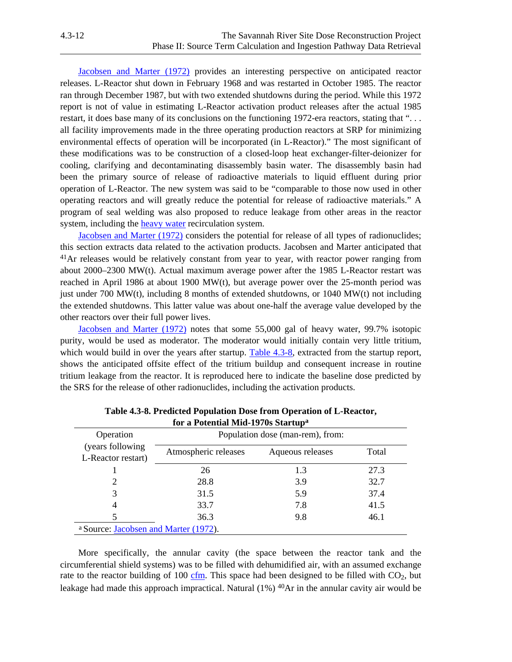<span id="page-11-0"></span>[Jacobsen and Marter \(1972\)](#page-19-0) provides an interesting perspective on anticipated reactor releases. L-Reactor shut down in February 1968 and was restarted in October 1985. The reactor ran through December 1987, but with two extended shutdowns during the period. While this 1972 report is not of value in estimating L-Reactor activation product releases after the actual 1985 restart, it does base many of its conclusions on the functioning 1972-era reactors, stating that "... all facility improvements made in the three operating production reactors at SRP for minimizing environmental effects of operation will be incorporated (in L-Reactor)." The most significant of these modifications was to be construction of a closed-loop heat exchanger-filter-deionizer for cooling, clarifying and decontaminating disassembly basin water. The disassembly basin had been the primary source of release of radioactive materials to liquid effluent during prior operation of L-Reactor. The new system was said to be "comparable to those now used in other operating reactors and will greatly reduce the potential for release of radioactive materials." A program of seal welding was also proposed to reduce leakage from other areas in the reactor system, including the [heavy water r](#page-7-0)ecirculation system.

[Jacobsen and Marter \(1972\) co](#page-19-0)nsiders the potential for release of all types of radionuclides; this section extracts data related to the activation products. Jacobsen and Marter anticipated that <sup>41</sup>Ar releases would be relatively constant from year to year, with reactor power ranging from about 2000–2300 MW(t). Actual maximum average power after the 1985 L-Reactor restart was reached in April 1986 at about 1900 MW(t), but average power over the 25-month period was just under 700 MW(t), including 8 months of extended shutdowns, or 1040 MW(t) not including the extended shutdowns. This latter value was about one-half the average value developed by the other reactors over their full power lives.

<span id="page-11-1"></span>[Jacobsen and Marter \(1972\)](#page-19-0) notes that some 55,000 gal of heavy water, 99.7% isotopic purity, would be used as moderator. The moderator would initially contain very little tritium, which would build in over the years after startup. [Table 4.3-8,](#page-11-1) extracted from the startup report, shows the anticipated offsite effect of the tritium buildup and consequent increase in routine tritium leakage from the reactor. It is reproduced here to indicate the baseline dose predicted by the SRS for the release of other radionuclides, including the activation products.

| Operation                                     | Population dose (man-rem), from: |                  |       |  |  |  |
|-----------------------------------------------|----------------------------------|------------------|-------|--|--|--|
| (years following)<br>L-Reactor restart)       | Atmospheric releases             | Aqueous releases | Total |  |  |  |
|                                               | 26                               | 1.3              | 27.3  |  |  |  |
|                                               | 28.8                             | 3.9              | 32.7  |  |  |  |
| 3                                             | 31.5                             | 5.9              | 37.4  |  |  |  |
| 4                                             | 33.7                             | 7.8              | 41.5  |  |  |  |
| 5                                             | 36.3                             | 9.8              | 46.1  |  |  |  |
| a Source: <i>Jacobsen and Marter (1972)</i> . |                                  |                  |       |  |  |  |

**Table 4.3-8. Predicted Population Dose from Operation of L-Reactor, for a Potential Mid-1970s Startupa**

 More specifically, the annular cavity (the space between the reactor tank and the circumferential shield systems) was to be filled with dehumidified air, with an assumed exchange rate to the reactor building of 100 [cfm.](#page-3-0) This space had been designed to be filled with  $CO<sub>2</sub>$ , but leakage had made this approach impractical. Natural (1%) <sup>40</sup>Ar in the annular cavity air would be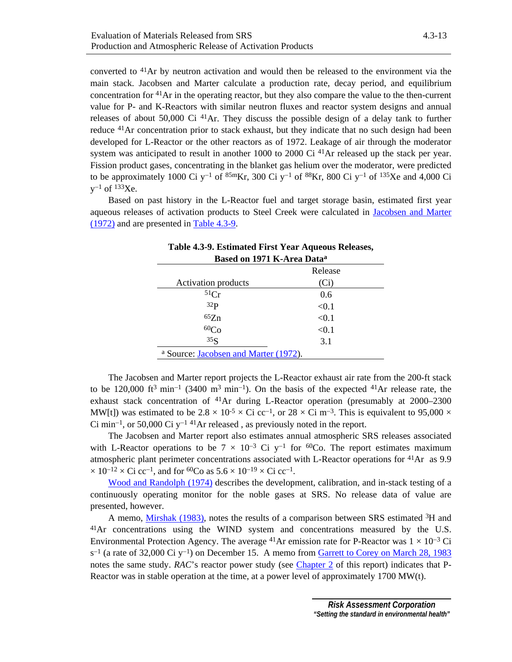<span id="page-12-0"></span>converted to 41Ar by neutron activation and would then be released to the environment via the main stack. Jacobsen and Marter calculate a production rate, decay period, and equilibrium concentration for  $41$ Ar in the operating reactor, but they also compare the value to the then-current value for P- and K-Reactors with similar neutron fluxes and reactor system designs and annual releases of about 50,000 Ci  $^{41}$ Ar. They discuss the possible design of a delay tank to further reduce <sup>41</sup>Ar concentration prior to stack exhaust, but they indicate that no such design had been developed for L-Reactor or the other reactors as of 1972. Leakage of air through the moderator system was anticipated to result in another  $1000$  to  $2000$  Ci  $41$ Ar released up the stack per year. Fission product gases, concentrating in the blanket gas helium over the moderator, were predicted to be approximately 1000 Ci y<sup>−</sup>1 of 85mKr, 300 Ci y<sup>−</sup>1 of 88Kr, 800 Ci y<sup>−</sup>1 of 135Xe and 4,000 Ci y<sup>−</sup>1 of 133Xe.

<span id="page-12-1"></span> Based on past history in the L-Reactor fuel and target storage basin, estimated first year aqueous releases of activation products to Steel Creek were calculated in [Jacobsen and Marter](#page-19-0)  [\(1972\) an](#page-19-0)d are presented in [Table 4.3-9.](#page-12-1) 

| Based on 1971 K-Area Data <sup>a</sup> |         |  |
|----------------------------------------|---------|--|
|                                        | Release |  |
| <b>Activation products</b>             | (Ci)    |  |
| 51Cr                                   | 0.6     |  |
| 32 <sub>P</sub>                        | < 0.1   |  |
| 65Zn                                   | < 0.1   |  |
| 60 <sub>Co</sub>                       | < 0.1   |  |
| 35 <sub>S</sub>                        | 3.1     |  |
| a Source: Jacobsen and Marter (1972).  |         |  |

**Table 4.3-9. Estimated First Year Aqueous Releases,** 

 The Jacobsen and Marter report projects the L-Reactor exhaust air rate from the 200-ft stack to be 120,000 ft<sup>3</sup> min<sup>-1</sup> (3400 m<sup>3</sup> min<sup>-1</sup>). On the basis of the expected <sup>41</sup>Ar release rate, the exhaust stack concentration of <sup>41</sup>Ar during L-Reactor operation (presumably at 2000–2300 MW[t]) was estimated to be 2.8 × 10<sup>-5</sup> × Ci cc<sup>-1</sup>, or 28 × Ci m<sup>-3</sup>. This is equivalent to 95,000 ×  $Ci$  min<sup>-1</sup>, or 50,000 Ci y<sup>-1 41</sup>Ar released, as previously noted in the report.

 The Jacobsen and Marter report also estimates annual atmospheric SRS releases associated with L-Reactor operations to be  $7 \times 10^{-3}$  Ci y<sup>-1</sup> for <sup>60</sup>Co. The report estimates maximum atmospheric plant perimeter concentrations associated with L-Reactor operations for 41Ar as 9.9  $\times$  10<sup>-12</sup> × Ci cc<sup>-1</sup>, and for <sup>60</sup>Co as 5.6 × 10<sup>-19</sup> × Ci cc<sup>-1</sup>.

[Wood and Randolph \(1974\)](#page-20-0) describes the development, calibration, and in-stack testing of a continuously operating monitor for the noble gases at SRS. No release data of value are presented, however.

 A memo, [Mirshak \(1983\),](#page-20-0) notes the results of a comparison between SRS estimated 3H and 41Ar concentrations using the WIND system and concentrations measured by the U.S. Environmental Protection Agency. The average <sup>41</sup>Ar emission rate for P-Reactor was  $1 \times 10^{-3}$  Ci s<sup>-1</sup> (a rate of 32,000 Ci y<sup>-1</sup>) on December 15. A memo from [Garrett to Corey on March 28, 1983](#page-18-0) notes the same study. *RAC*'s reactor power study (see Chapter 2 of this report) indicates that P-Reactor was in stable operation at the time, at a power level of approximately 1700 MW(t).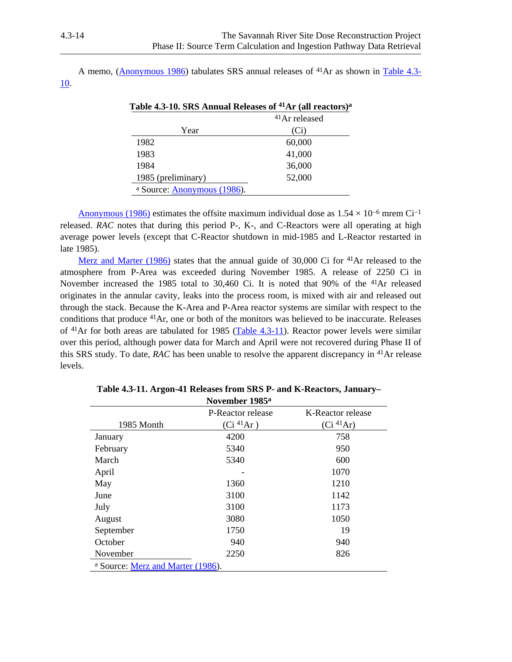A memo, [\(Anonymous 1986\)](#page-17-0) tabulates SRS annual releases of 41Ar as shown in Table 4.3- 10.

|                                        | <sup>41</sup> Ar released |
|----------------------------------------|---------------------------|
| Year                                   | (Ci)                      |
| 1982                                   | 60,000                    |
| 1983                                   | 41,000                    |
| 1984                                   | 36,000                    |
| 1985 (preliminary)                     | 52,000                    |
| <sup>a</sup> Source: Anonymous (1986). |                           |

| Table 4.3-10. SRS Annual Releases of <sup>41</sup> Ar (all reactors) <sup>a</sup> |  |  |
|-----------------------------------------------------------------------------------|--|--|
|-----------------------------------------------------------------------------------|--|--|

<u>Anonymous (1986)</u> estimates the offsite maximum individual dose as  $1.54 \times 10^{-6}$  mrem Ci<sup>-1</sup> released. *RAC* notes that during this period P-, K-, and C-Reactors were all operating at high average power levels (except that C-Reactor shutdown in mid-1985 and L-Reactor restarted in late 1985).

[Merz and Marter \(1986\)](#page-20-0) states that the annual guide of 30,000 Ci for 41Ar released to the atmosphere from P-Area was exceeded during November 1985. A release of 2250 Ci in November increased the 1985 total to 30,460 Ci. It is noted that 90% of the 41Ar released originates in the annular cavity, leaks into the process room, is mixed with air and released out through the stack. Because the K-Area and P-Area reactor systems are similar with respect to the conditions that produce 41Ar, one or both of the monitors was believed to be inaccurate. Releases of 41Ar for both areas are tabulated for 1985 (Table 4.3-11). Reactor power levels were similar over this period, although power data for March and April were not recovered during Phase II of this SRS study. To date, *RAC* has been unable to resolve the apparent discrepancy in 41Ar release levels.

|                                   | <b>INOVEHIDEL 1705"</b>    |                       |
|-----------------------------------|----------------------------|-----------------------|
|                                   | P-Reactor release          | K-Reactor release     |
| 1985 Month                        | $(Ci \, {}^{41}\text{Ar})$ | (Ci <sup>41</sup> Ar) |
| January                           | 4200                       | 758                   |
| February                          | 5340                       | 950                   |
| March                             | 5340                       | 600                   |
| April                             |                            | 1070                  |
| May                               | 1360                       | 1210                  |
| June                              | 3100                       | 1142                  |
| July                              | 3100                       | 1173                  |
| August                            | 3080                       | 1050                  |
| September                         | 1750                       | 19                    |
| October                           | 940                        | 940                   |
| November                          | 2250                       | 826                   |
| a Source: Merz and Marter (1986). |                            |                       |

**Table 4.3-11. Argon-41 Releases from SRS P- and K-Reactors, January– November 1985a**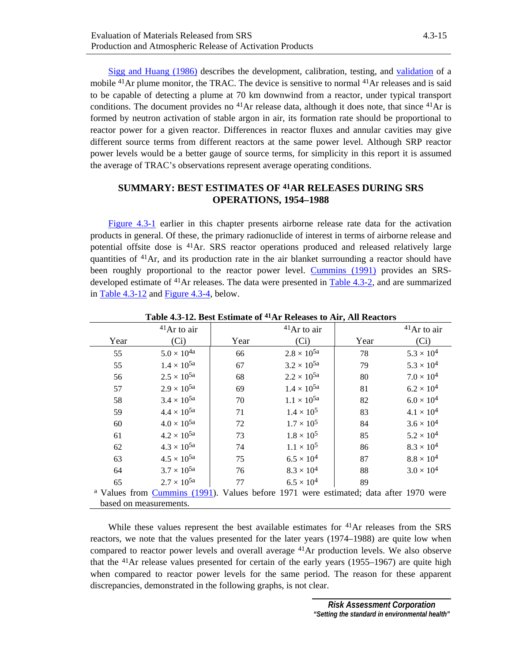[Sigg and Huang \(1986\)](#page-20-0) describes the development, calibration, testing, and [validation o](#page-12-0)f a mobile <sup>41</sup>Ar plume monitor, the TRAC. The device is sensitive to normal <sup>41</sup>Ar releases and is said to be capable of detecting a plume at 70 km downwind from a reactor, under typical transport conditions. The document provides no  $41$ Ar release data, although it does note, that since  $41$ Ar is formed by neutron activation of stable argon in air, its formation rate should be proportional to reactor power for a given reactor. Differences in reactor fluxes and annular cavities may give different source terms from different reactors at the same power level. Although SRP reactor power levels would be a better gauge of source terms, for simplicity in this report it is assumed the average of TRAC's observations represent average operating conditions.

# **SUMMARY: BEST ESTIMATES OF 41AR RELEASES DURING SRS OPERATIONS, 1954–1988**

[Figure 4.3-1 e](#page-5-0)arlier in this chapter presents airborne release rate data for the activation products in general. Of these, the primary radionuclide of interest in terms of airborne release and potential offsite dose is 41Ar. SRS reactor operations produced and released relatively large quantities of  $41$ Ar, and its production rate in the air blanket surrounding a reactor should have been roughly proportional to the reactor power level. [Cummins \(1991\)](#page-18-0) provides an SRSdeveloped estimate of 41Ar releases. The data were presented in [Table 4.3-2](#page-4-0), and are summarized in Table 4.3-12 and [Figure 4.3-4](#page-15-0), below.

|                                                                                                  | $41$ Ar to air       |      | $41$ Ar to air       |      | $41$ Ar to air      |
|--------------------------------------------------------------------------------------------------|----------------------|------|----------------------|------|---------------------|
| Year                                                                                             | (Ci)                 | Year | (Ci)                 | Year | (Ci)                |
| 55                                                                                               | $5.0 \times 10^{4a}$ | 66   | $2.8 \times 10^{5a}$ | 78   | $5.3 \times 10^{4}$ |
| 55                                                                                               | $1.4 \times 10^{5a}$ | 67   | $3.2 \times 10^{5a}$ | 79   | $5.3 \times 10^{4}$ |
| 56                                                                                               | $2.5 \times 10^{5a}$ | 68   | $2.2 \times 10^{5a}$ | 80   | $7.0 \times 10^{4}$ |
| 57                                                                                               | $2.9 \times 10^{5a}$ | 69   | $1.4 \times 10^{5a}$ | 81   | $6.2 \times 10^{4}$ |
| 58                                                                                               | $3.4 \times 10^{5a}$ | 70   | $1.1 \times 10^{5a}$ | 82   | $6.0 \times 10^{4}$ |
| 59                                                                                               | $4.4 \times 10^{5a}$ | 71   | $1.4 \times 10^{5}$  | 83   | $4.1 \times 10^{4}$ |
| 60                                                                                               | $4.0 \times 10^{5a}$ | 72   | $1.7 \times 10^{5}$  | 84   | $3.6 \times 10^{4}$ |
| 61                                                                                               | $4.2 \times 10^{5a}$ | 73   | $1.8 \times 10^{5}$  | 85   | $5.2 \times 10^{4}$ |
| 62                                                                                               | $4.3 \times 10^{5a}$ | 74   | $1.1 \times 10^{5}$  | 86   | $8.3 \times 10^{4}$ |
| 63                                                                                               | $4.5 \times 10^{5a}$ | 75   | $6.5 \times 10^{4}$  | 87   | $8.8 \times 10^4$   |
| 64                                                                                               | $3.7 \times 10^{5a}$ | 76   | $8.3 \times 10^{4}$  | 88   | $3.0 \times 10^{4}$ |
| 65                                                                                               | $2.7 \times 10^{5a}$ | 77   | $6.5 \times 10^{4}$  | 89   |                     |
| <sup>a</sup> Values from Cummins (1991). Values before 1971 were estimated; data after 1970 were |                      |      |                      |      |                     |
| based on measurements.                                                                           |                      |      |                      |      |                     |

**Table 4.3-12. Best Estimate of 41Ar Releases to Air, All Reactors** 

While these values represent the best available estimates for  $^{41}Ar$  releases from the SRS reactors, we note that the values presented for the later years (1974–1988) are quite low when compared to reactor power levels and overall average 41Ar production levels. We also observe that the  $^{41}$ Ar release values presented for certain of the early years (1955–1967) are quite high when compared to reactor power levels for the same period. The reason for these apparent discrepancies, demonstrated in the following graphs, is not clear.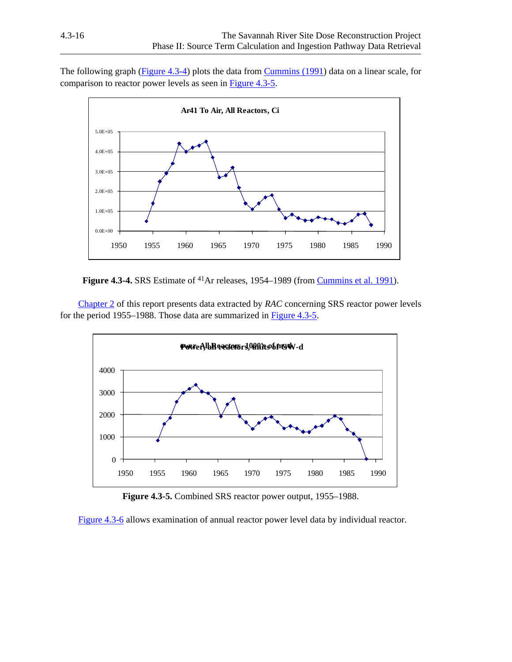<span id="page-15-0"></span>The following graph (Figure 4.3-4) plots the data fro[m Cummins \(1991\)](#page-18-0) data on a linear scale, for comparison to reactor power levels as seen in Figure 4.3-5.



**Figure 4.3-4.** SRS Estimate of <sup>41</sup>Ar releases, 1954–1989 (from *Cummins et al. 1991*).

<span id="page-15-1"></span>Chapter 2 of this report presents data extracted by *RAC* concerning SRS reactor power levels for the period 1955–1988. Those data are summarized in Figure 4.3-5.



**Figure 4.3-5.** Combined SRS reactor power output, 1955–1988.

[Figure 4.3-6](#page-16-1) allows examination of annual reactor power level data by individual reactor.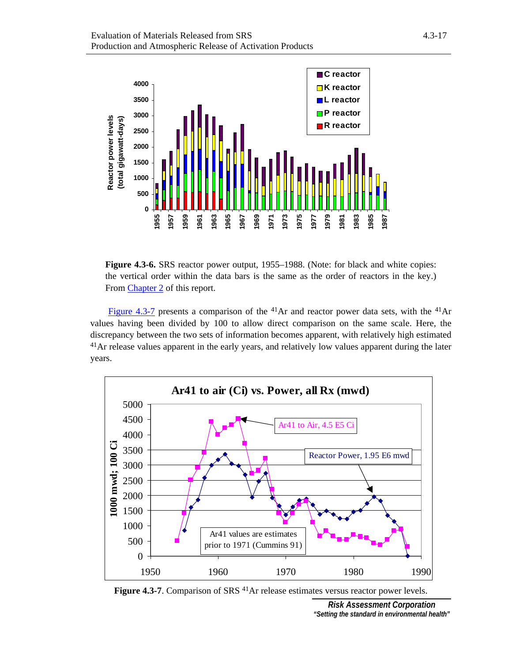<span id="page-16-1"></span><span id="page-16-0"></span>

**Figure 4.3-6.** SRS reactor power output, 1955–1988. (Note: for black and white copies: the vertical order within the data bars is the same as the order of reactors in the key.) From Chapter 2 of this report.

<span id="page-16-2"></span>[Figure 4.3-7 p](#page-16-2)resents a comparison of the  $41$ Ar and reactor power data sets, with the  $41$ Ar values having been divided by 100 to allow direct comparison on the same scale. Here, the discrepancy between the two sets of information becomes apparent, with relatively high estimated <sup>41</sup>Ar release values apparent in the early years, and relatively low values apparent during the later years.



**Figure 4.3-7**. Comparison of SRS <sup>41</sup>Ar release estimates versus reactor power levels.

*Risk Assessment Corporation "Setting the standard in environmental health"*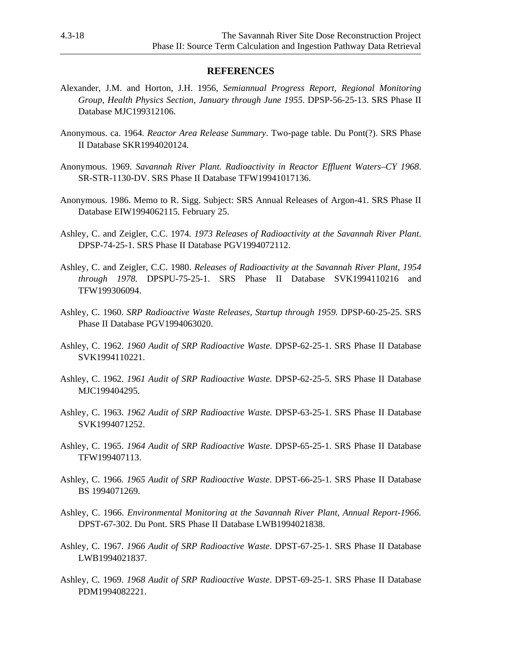## **REFERENCES**

- <span id="page-17-0"></span>Alexander, J.M. and Horton, J.H. 1956, *Semiannual Progress Report, Regional Monitoring Group, Health Physics Section, January through June 1955*. DPSP-56-25-13. SRS Phase II Database MJC199312106.
- Anonymous. ca. 1964. *Reactor Area Release Summary*. Two-page table. Du Pont(?). SRS Phase II Database SKR1994020124.
- Anonymous. 1969. *Savannah River Plant. Radioactivity in Reactor Effluent Waters–CY 1968*. SR-STR-1130-DV. SRS Phase II Database TFW19941017136.
- Anonymous. 1986. Memo to R. Sigg. Subject: SRS Annual Releases of Argon-41. SRS Phase II Database EIW1994062115. February 25.
- Ashley, C. and Zeigler, C.C. 1974. *1973 Releases of Radioactivity at the Savannah River Plant*. DPSP-74-25-1. SRS Phase II Database PGV1994072112.
- Ashley, C. and Zeigler, C.C. 1980. *Releases of Radioactivity at the Savannah River Plant, 1954 through 1978.* DPSPU-75-25-1. SRS Phase II Database SVK1994110216 and TFW199306094.
- Ashley, C. 1960. *SRP Radioactive Waste Releases, Startup through 1959.* DPSP-60-25-25. SRS Phase II Database PGV1994063020.
- Ashley, C. 1962. *1960 Audit of SRP Radioactive Waste.* DPSP-62-25-1. SRS Phase II Database SVK1994110221.
- Ashley, C. 1962. *1961 Audit of SRP Radioactive Waste.* DPSP-62-25-5. SRS Phase II Database MJC199404295.
- Ashley, C. 1963. *1962 Audit of SRP Radioactive Waste.* DPSP-63-25-1. SRS Phase II Database SVK1994071252.
- Ashley, C. 1965. *1964 Audit of SRP Radioactive Waste*. DPSP-65-25-1. SRS Phase II Database TFW199407113.
- Ashley, C. 1966. *1965 Audit of SRP Radioactive Waste*. DPST-66-25-1. SRS Phase II Database BS 1994071269.
- Ashley, C. 1966. *Environmental Monitoring at the Savannah River Plant, Annual Report-1966.*  DPST-67-302. Du Pont. SRS Phase II Database LWB1994021838.
- Ashley, C. 1967. *1966 Audit of SRP Radioactive Waste*. DPST-67-25-1. SRS Phase II Database LWB1994021837.
- Ashley, C. 1969. *1968 Audit of SRP Radioactive Waste*. DPST-69-25-1. SRS Phase II Database PDM1994082221.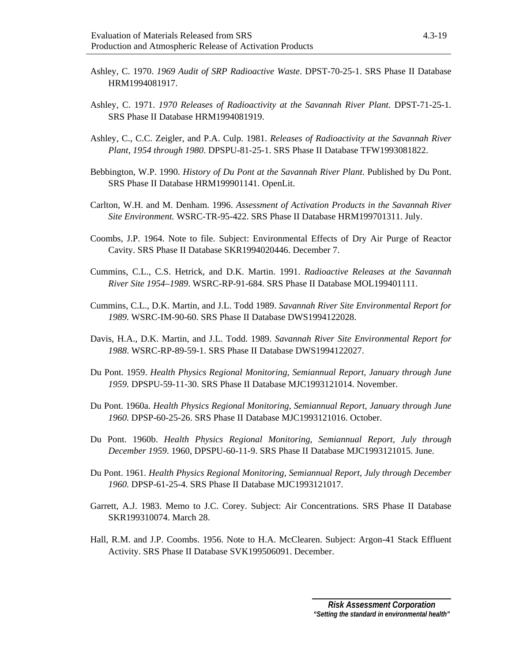- <span id="page-18-0"></span>Ashley, C. 1970. *1969 Audit of SRP Radioactive Waste*. DPST-70-25-1. SRS Phase II Database HRM1994081917.
- Ashley, C. 1971. *1970 Releases of Radioactivity at the Savannah River Plant*. DPST-71-25-1. SRS Phase II Database HRM1994081919.
- Ashley, C., C.C. Zeigler, and P.A. Culp. 1981. *Releases of Radioactivity at the Savannah River Plant, 1954 through 1980*. DPSPU-81-25-1. SRS Phase II Database TFW1993081822.
- Bebbington, W.P. 1990. *History of Du Pont at the Savannah River Plant*. Published by Du Pont. SRS Phase II Database HRM199901141. OpenLit.
- Carlton, W.H. and M. Denham. 1996. *Assessment of Activation Products in the Savannah River Site Environment.* WSRC-TR-95-422. SRS Phase II Database HRM199701311. July.
- Coombs, J.P. 1964. Note to file. Subject: Environmental Effects of Dry Air Purge of Reactor Cavity. SRS Phase II Database SKR1994020446. December 7.
- Cummins, C.L., C.S. Hetrick, and D.K. Martin. 1991. *Radioactive Releases at the Savannah River Site 1954–1989*. WSRC-RP-91-684. SRS Phase II Database MOL199401111.
- Cummins, C.L., D.K. Martin, and J.L. Todd 1989. *Savannah River Site Environmental Report for 1989.* WSRC-IM-90-60. SRS Phase II Database DWS1994122028.
- Davis, H.A., D.K. Martin, and J.L. Todd. 1989. *Savannah River Site Environmental Report for 1988*. WSRC-RP-89-59-1. SRS Phase II Database DWS1994122027.
- Du Pont. 1959. *Health Physics Regional Monitoring, Semiannual Report, January through June 1959.* DPSPU-59-11-30. SRS Phase II Database MJC1993121014. November.
- Du Pont. 1960a. *Health Physics Regional Monitoring, Semiannual Report, January through June 1960.* DPSP-60-25-26. SRS Phase II Database MJC1993121016. October.
- Du Pont. 1960b. *Health Physics Regional Monitoring, Semiannual Report, July through December 1959*. 1960, DPSPU-60-11-9. SRS Phase II Database MJC1993121015. June.
- Du Pont. 1961. *Health Physics Regional Monitoring, Semiannual Report, July through December 1960.* DPSP-61-25-4. SRS Phase II Database MJC1993121017.
- Garrett, A.J. 1983. Memo to J.C. Corey. Subject: Air Concentrations. SRS Phase II Database SKR199310074. March 28.
- Hall, R.M. and J.P. Coombs. 1956. Note to H.A. McClearen. Subject: Argon-41 Stack Effluent Activity. SRS Phase II Database SVK199506091. December.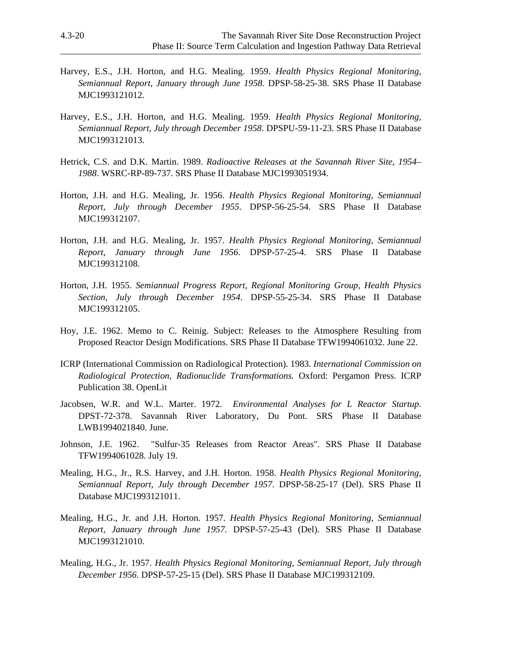- <span id="page-19-0"></span>Harvey, E.S., J.H. Horton, and H.G. Mealing. 1959. *Health Physics Regional Monitoring, Semiannual Report, January through June 1958.* DPSP-58-25-38. SRS Phase II Database MJC1993121012.
- Harvey, E.S., J.H. Horton, and H.G. Mealing. 1959. *Health Physics Regional Monitoring, Semiannual Report, July through December 1958*. DPSPU-59-11-23. SRS Phase II Database MJC1993121013.
- Hetrick, C.S. and D.K. Martin. 1989. *Radioactive Releases at the Savannah River Site, 1954– 1988*. WSRC-RP-89-737. SRS Phase II Database MJC1993051934.
- Horton, J.H. and H.G. Mealing, Jr. 1956. *Health Physics Regional Monitoring, Semiannual Report, July through December 1955*. DPSP-56-25-54. SRS Phase II Database MJC199312107.
- Horton, J.H. and H.G. Mealing, Jr. 1957. *Health Physics Regional Monitoring, Semiannual Report, January through June 1956*. DPSP-57-25-4. SRS Phase II Database MJC199312108.
- Horton, J.H. 1955. *Semiannual Progress Report, Regional Monitoring Group, Health Physics Section, July through December 1954*. DPSP-55-25-34. SRS Phase II Database MJC199312105.
- Hoy, J.E. 1962. Memo to C. Reinig. Subject: Releases to the Atmosphere Resulting from Proposed Reactor Design Modifications. SRS Phase II Database TFW1994061032. June 22.
- ICRP (International Commission on Radiological Protection). 1983. *International Commission on Radiological Protection, Radionuclide Transformations.* Oxford: Pergamon Press. ICRP Publication 38. OpenLit
- Jacobsen, W.R. and W.L. Marter. 1972. *Environmental Analyses for L Reactor Startup*. DPST-72-378. Savannah River Laboratory, Du Pont. SRS Phase II Database LWB1994021840. June.
- Johnson, J.E. 1962. "Sulfur-35 Releases from Reactor Areas". SRS Phase II Database TFW1994061028. July 19.
- Mealing, H.G., Jr., R.S. Harvey, and J.H. Horton. 1958. *Health Physics Regional Monitoring, Semiannual Report, July through December 1957*. DPSP-58-25-17 (Del). SRS Phase II Database MJC1993121011.
- Mealing, H.G., Jr. and J.H. Horton. 1957. *Health Physics Regional Monitoring, Semiannual Report, January through June 1957.* DPSP-57-25-43 (Del). SRS Phase II Database MJC1993121010.
- Mealing, H.G., Jr. 1957. *Health Physics Regional Monitoring, Semiannual Report, July through December 1956*. DPSP-57-25-15 (Del). SRS Phase II Database MJC199312109.